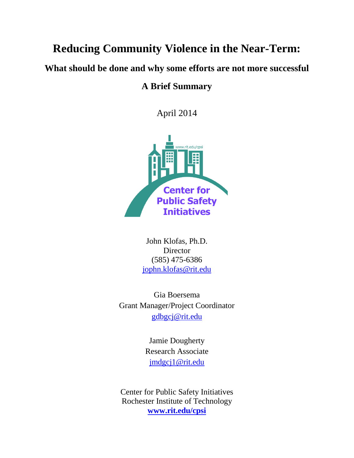# **Reducing Community Violence in the Near-Term:**

**What should be done and why some efforts are not more successful**

## **A Brief Summary**

April 2014



John Klofas, Ph.D. **Director** (585) 475-6386 [jophn.klofas@rit.edu](mailto:jophn.klofas@rit.edu)

Gia Boersema Grant Manager/Project Coordinator [gdbgcj@rit.edu](mailto:gdbgcj@rit.edu)

> Jamie Dougherty Research Associate [jmdgcj1@rit.edu](mailto:jmdgcj1@rit.edu)

Center for Public Safety Initiatives Rochester Institute of Technology **[www.rit.edu/cpsi](http://www.rit.edu/cpsi)**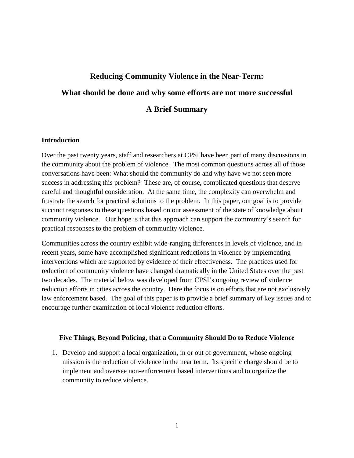# **Reducing Community Violence in the Near-Term: What should be done and why some efforts are not more successful A Brief Summary**

#### **Introduction**

Over the past twenty years, staff and researchers at CPSI have been part of many discussions in the community about the problem of violence. The most common questions across all of those conversations have been: What should the community do and why have we not seen more success in addressing this problem? These are, of course, complicated questions that deserve careful and thoughtful consideration. At the same time, the complexity can overwhelm and frustrate the search for practical solutions to the problem. In this paper, our goal is to provide succinct responses to these questions based on our assessment of the state of knowledge about community violence. Our hope is that this approach can support the community's search for practical responses to the problem of community violence.

Communities across the country exhibit wide-ranging differences in levels of violence, and in recent years, some have accomplished significant reductions in violence by implementing interventions which are supported by evidence of their effectiveness. The practices used for reduction of community violence have changed dramatically in the United States over the past two decades. The material below was developed from CPSI's ongoing review of violence reduction efforts in cities across the country. Here the focus is on efforts that are not exclusively law enforcement based. The goal of this paper is to provide a brief summary of key issues and to encourage further examination of local violence reduction efforts.

#### **Five Things, Beyond Policing, that a Community Should Do to Reduce Violence**

1. Develop and support a local organization, in or out of government, whose ongoing mission is the reduction of violence in the near term. Its specific charge should be to implement and oversee non-enforcement based interventions and to organize the community to reduce violence.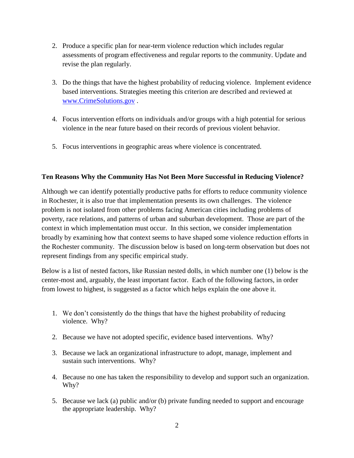- 2. Produce a specific plan for near-term violence reduction which includes regular assessments of program effectiveness and regular reports to the community. Update and revise the plan regularly.
- 3. Do the things that have the highest probability of reducing violence. Implement evidence based interventions. Strategies meeting this criterion are described and reviewed at [www.CrimeSolutions.gov](http://www.crimesolutions.gov/) .
- 4. Focus intervention efforts on individuals and/or groups with a high potential for serious violence in the near future based on their records of previous violent behavior.
- 5. Focus interventions in geographic areas where violence is concentrated.

### **Ten Reasons Why the Community Has Not Been More Successful in Reducing Violence?**

Although we can identify potentially productive paths for efforts to reduce community violence in Rochester, it is also true that implementation presents its own challenges. The violence problem is not isolated from other problems facing American cities including problems of poverty, race relations, and patterns of urban and suburban development. Those are part of the context in which implementation must occur. In this section, we consider implementation broadly by examining how that context seems to have shaped some violence reduction efforts in the Rochester community. The discussion below is based on long-term observation but does not represent findings from any specific empirical study.

Below is a list of nested factors, like Russian nested dolls, in which number one (1) below is the center-most and, arguably, the least important factor. Each of the following factors, in order from lowest to highest, is suggested as a factor which helps explain the one above it.

- 1. We don't consistently do the things that have the highest probability of reducing violence. Why?
- 2. Because we have not adopted specific, evidence based interventions. Why?
- 3. Because we lack an organizational infrastructure to adopt, manage, implement and sustain such interventions. Why?
- 4. Because no one has taken the responsibility to develop and support such an organization. Why?
- 5. Because we lack (a) public and/or (b) private funding needed to support and encourage the appropriate leadership. Why?